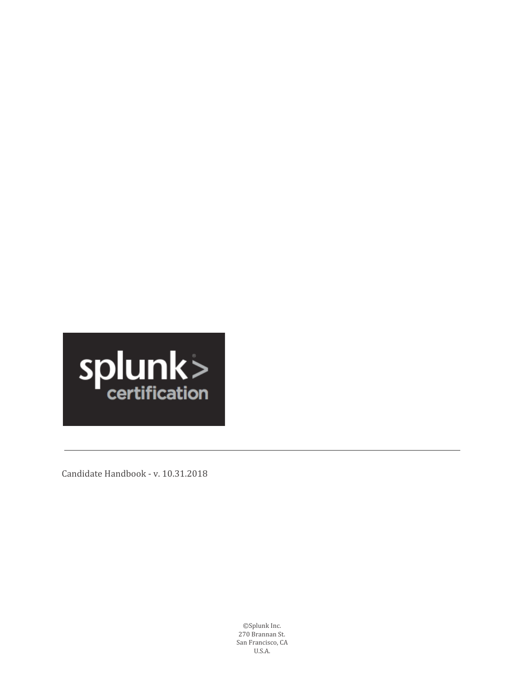

Candidate Handbook ‑ v. 10.31.2018

©Splunk Inc. 270 Brannan St. San Francisco, CA U.S.A.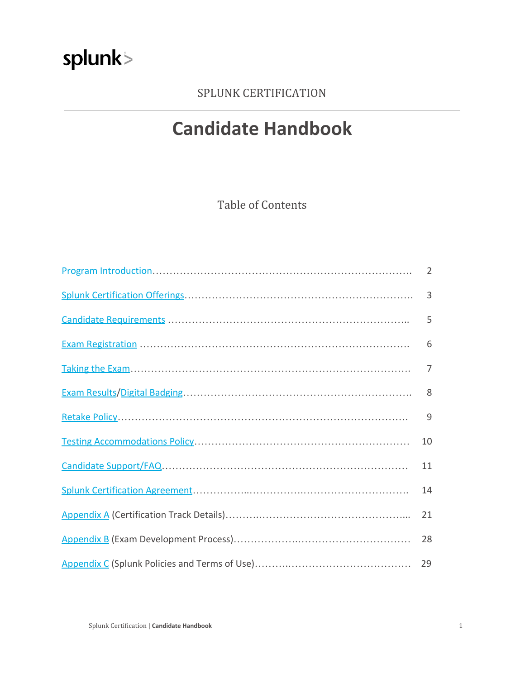### SPLUNK CERTIFICATION

### **Candidate Handbook**

Table of Contents

| $\overline{2}$ |
|----------------|
| 3              |
| 5              |
| 6              |
| $\overline{7}$ |
| 8              |
| 9              |
| 10             |
| 11             |
| 14             |
| 21             |
| 28             |
| 29             |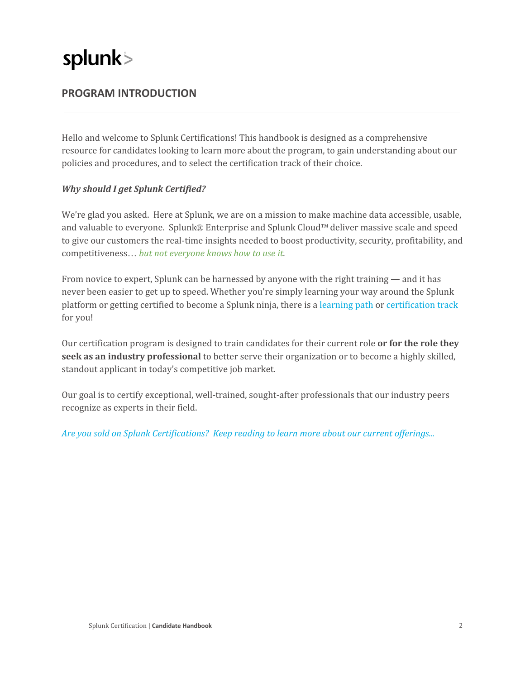### <span id="page-2-0"></span>**PROGRAM INTRODUCTION**

Hello and welcome to Splunk Certifications! This handbook is designed as a comprehensive resource for candidates looking to learn more about the program, to gain understanding about our policies and procedures, and to select the certification track of their choice.

#### *Why should I get Splunk Certified?*

We're glad you asked. Here at Splunk, we are on a mission to make machine data accessible, usable, and valuable to everyone. SplunkⓇ Enterprise and Splunk Cloud™deliver massive scale and speed to give our customers the real-time insights needed to boost productivity, security, profitability, and competitiveness… *but not everyone knows how to use it.*

From novice to expert, Splunk can be harnessed by anyone with the right training — and it has never been easier to get up to speed. Whether you're simply learning your way around the Splunk platform or getting certified to become a Splunk ninja, there is a [learning](https://www.splunk.com/en_us/training.html#learningpath) path or [certification](https://www.splunk.com/en_us/training.html#certificationtrack) track for you!

Our certification program is designed to train candidates for their current role **or for the role they seek as an industry professional** to better serve their organization or to become a highly skilled, standout applicant in today's competitive job market.

Our goal is to certify exceptional, well-trained, sought-after professionals that our industry peers recognize as experts in their field.

*Are you sold on Splunk Certifications? Keep reading to learn more about our current of erings...*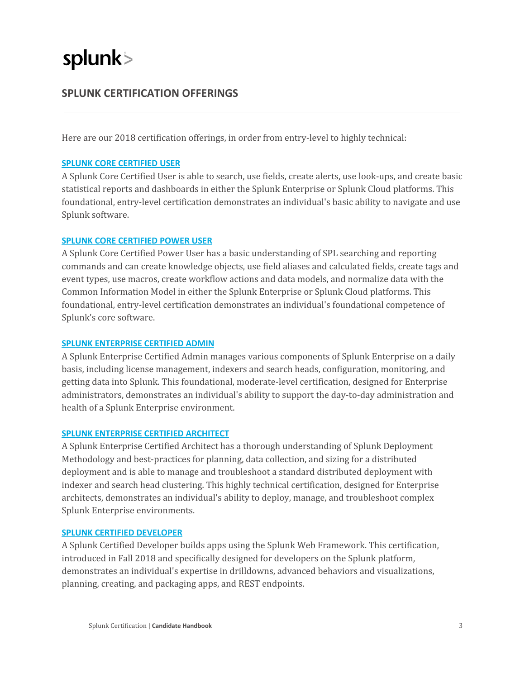### <span id="page-3-0"></span>**SPLUNK CERTIFICATION OFFERINGS**

Here are our 2018 certification offerings, in order from entry-level to highly technical:

#### **SPLUNK CORE [CERTIFIED](https://www.splunk.com/en_us/training/certification-track/splunk-core-certified-user/overview.html) USER**

A Splunk Core Certified User is able to search, use fields, create alerts, use look‑ups, and create basic statistical reports and dashboards in either the Splunk Enterprise or Splunk Cloud platforms. This foundational, entry‑level certification demonstrates an individual's basic ability to navigate and use Splunk software.

#### **SPLUNK CORE [CERTIFIED](https://www.splunk.com/en_us/training/certification-track/splunk-core-certified-power-user/overview.html) POWER USER**

A Splunk Core Certified Power User has a basic understanding of SPL searching and reporting commands and can create knowledge objects, use field aliases and calculated fields, create tags and event types, use macros, create workflow actions and data models, and normalize data with the Common Information Model in either the Splunk Enterprise or Splunk Cloud platforms. This foundational, entry‑level certification demonstrates an individual's foundational competence of Splunk's core software.

#### **SPLUNK [ENTERPRISE](https://www.splunk.com/en_us/training/certification-track/splunk-enterprise-certified-admin/overview.html) CERTIFIED ADMIN**

A Splunk Enterprise Certified Admin manages various components of Splunk Enterprise on a daily basis, including license management, indexers and search heads, configuration, monitoring, and getting data into Splunk. This foundational, moderate‑level certification, designed for Enterprise administrators, demonstrates an individual's ability to support the day-to-day administration and health of a Splunk Enterprise environment.

#### **SPLUNK [ENTERPRISE](https://www.splunk.com/en_us/training/certification-track/splunk-enterprise-certified-architect/overview.html) CERTIFIED ARCHITECT**

A Splunk Enterprise Certified Architect has a thorough understanding of Splunk Deployment Methodology and best-practices for planning, data collection, and sizing for a distributed deployment and is able to manage and troubleshoot a standard distributed deployment with indexer and search head clustering. This highly technical certification, designed for Enterprise architects, demonstrates an individual's ability to deploy, manage, and troubleshoot complex Splunk Enterprise environments.

#### **SPLUNK CERTIFIED [DEVELOPER](https://www.splunk.com/en_us/training/certification-track/splunk-certified-developer/overview.html)**

A Splunk Certified Developer builds apps using the Splunk Web Framework. This certification, introduced in Fall 2018 and specifically designed for developers on the Splunk platform, demonstrates an individual's expertise in drilldowns, advanced behaviors and visualizations, planning, creating, and packaging apps, and REST endpoints.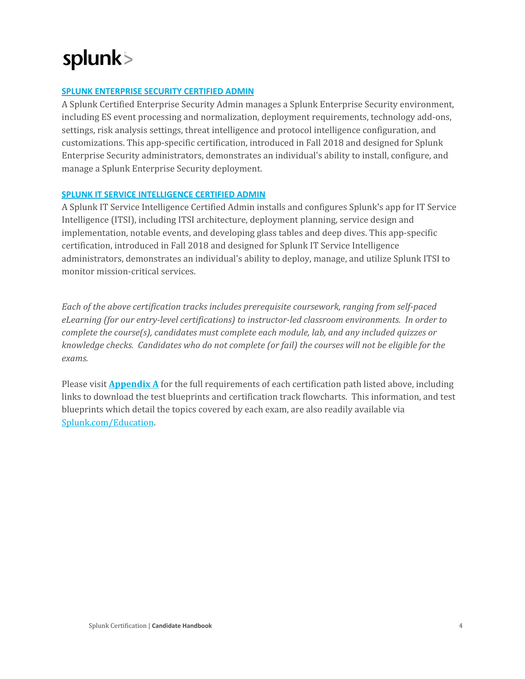#### **SPLUNK [ENTERPRISE](https://www.splunk.com/en_us/training/certification-track/splunk-es-certified-admin/overview.html) SECURITY CERTIFIED ADMIN**

A Splunk Certified Enterprise Security Admin manages a Splunk Enterprise Security environment, including ES event processing and normalization, deployment requirements, technology add-ons, settings, risk analysis settings, threat intelligence and protocol intelligence configuration, and customizations. This app‑specific certification, introduced in Fall 2018 and designed for Splunk Enterprise Security administrators, demonstrates an individual's ability to install, configure, and manage a Splunk Enterprise Security deployment.

#### **SPLUNK IT SERVICE [INTELLIGENCE](https://www.splunk.com/en_us/training/certification-track/splunk-itsi-certified-admin/overview.html) CERTIFIED ADMIN**

A Splunk IT Service Intelligence Certified Admin installs and configures Splunk's app for IT Service Intelligence (ITSI), including ITSI architecture, deployment planning, service design and implementation, notable events, and developing glass tables and deep dives. This app-specific certification, introduced in Fall 2018 and designed for Splunk IT Service Intelligence administrators, demonstrates an individual's ability to deploy, manage, and utilize Splunk ITSI to monitor mission-critical services.

*Each of the above certification tracks includes prerequisite coursework, ranging from selfpaced eLearning (for our entrylevel certifications) to instructorled classroom environments. In order to complete the course(s), candidates must complete each module, lab, and any included quizzes or knowledge checks. Candidates who do not complete (or fail) the courses will not be eligible for the exams.*

Please visit **[Appendix](#page-21-0) A** for the full requirements of each certification path listed above, including links to download the test blueprints and certification track flowcharts. This information, and test blueprints which detail the topics covered by each exam, are also readily available via [Splunk.com/Education](https://www.splunk.com/en_us/training.html).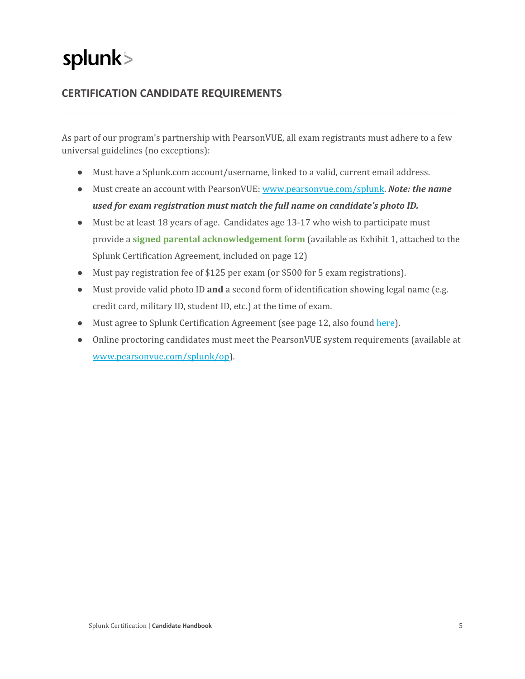### <span id="page-5-0"></span>**CERTIFICATION CANDIDATE REQUIREMENTS**

As part of our program's partnership with PearsonVUE, all exam registrants must adhere to a few universal guidelines (no exceptions):

- Must have a Splunk.com account/username, linked to a valid, current email address.
- Must create an account with PearsonVUE: [www.pearsonvue.com/splunk](http://www.pearsonvue.com/splunk). *Note: the name used for exam registration must match the full name on candidate's photo ID.*
- Must be at least 18 years of age. Candidates age 13-17 who wish to participate must provide a **signed parental acknowledgement form** (available as Exhibit 1, attached to the Splunk Certification Agreement, included on page 12)
- Must pay registration fee of \$125 per exam (or \$500 for 5 exam registrations).
- Must provide valid photo ID **and** a second form of identification showing legal name (e.g. credit card, military ID, student ID, etc.) at the time of exam.
- Must agree to Splunk Certification Agreement (see page 12, also found [here](https://www.splunk.com/en_us/training/faq-training.html)).
- Online proctoring candidates must meet the PearsonVUE system requirements (available at [www.pearsonvue.com/splunk/op\)](http://www.pearsonvue.com/splunk/op).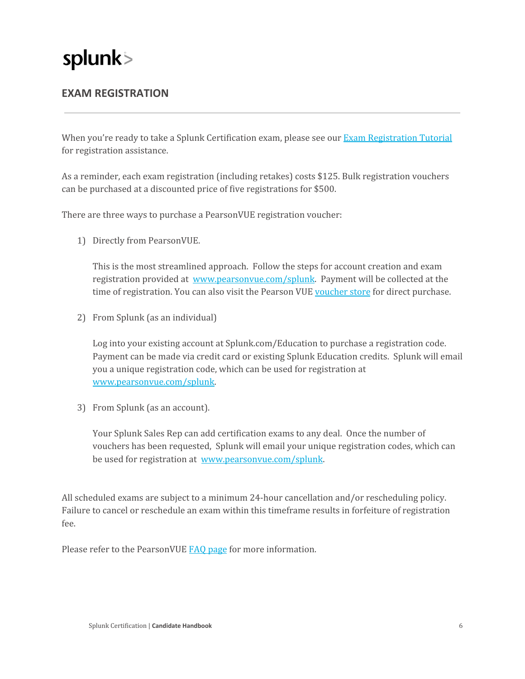### <span id="page-6-0"></span>**EXAM REGISTRATION**

When you're ready to take a Splunk Certification exam, please see our Exam [Registration](https://www.splunk.com/pdfs/training/Exam-Registration-Tutorial.pdf) Tutorial for registration assistance.

As a reminder, each exam registration (including retakes) costs \$125. Bulk registration vouchers can be purchased at a discounted price of five registrations for \$500.

There are three ways to purchase a PearsonVUE registration voucher:

1) Directly from PearsonVUE.

This is the most streamlined approach. Follow the steps for account creation and exam registration provided at [www.pearsonvue.com/splunk](http://www.pearsonvue.com/splunk). Payment will be collected at the time of registration. You can also visit the Pearson VUE [voucher](https://home.pearsonvue.com/For-test-centers/Voucher-store.aspx) store for direct purchase.

2) From Splunk (as an individual)

Log into your existing account at Splunk.com/Education to purchase a registration code. Payment can be made via credit card or existing Splunk Education credits. Splunk will email you a unique registration code, which can be used for registration at [www.pearsonvue.com/splunk](http://www.pearsonvue.com/splunk).

3) From Splunk (as an account).

Your Splunk Sales Rep can add certification exams to any deal. Once the number of vouchers has been requested, Splunk will email your unique registration codes, which can be used for registration at [www.pearsonvue.com/splunk](http://www.pearsonvue.com/splunk).

All scheduled exams are subject to a minimum 24-hour cancellation and/or rescheduling policy. Failure to cancel or reschedule an exam within this timeframe results in forfeiture of registration fee.

Please refer to the PearsonVUE FAQ [page](https://home.pearsonvue.com/Test-taker/FAQS.aspx) for more information.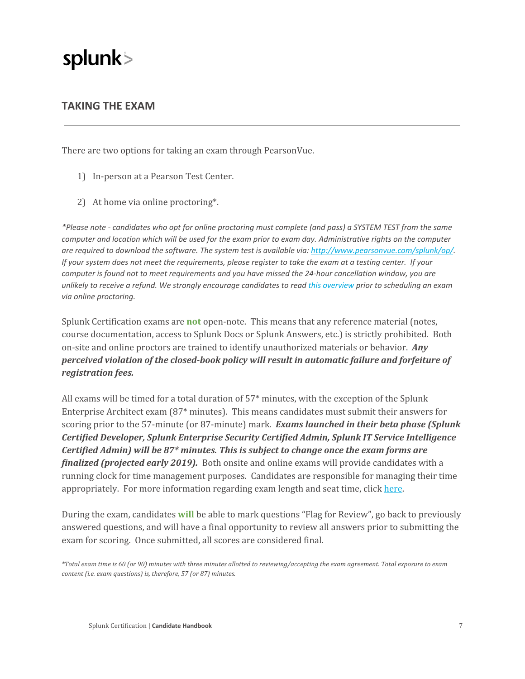### <span id="page-7-0"></span>**TAKING THE EXAM**

There are two options for taking an exam through PearsonVue.

- 1) In‑person at a Pearson Test Center.
- 2) At home via online proctoring\*.

\*Please note - candidates who opt for online proctoring must complete (and pass) a SYSTEM TEST from the same computer and location which will be used for the exam prior to exam day. Administrative rights on the computer *are required to download the software. The system test is available via: <http://www.pearsonvue.com/splunk/op/>.* If your system does not meet the requirements, please register to take the exam at a testing center. If your *computer is found not to meet requirements and you have missed the 24‑hour cancellation window, you are* unlikely to receive a refund. We strongly encourage candidates to read this [overview](https://www.splunk.com/pdfs/training/Online-Proctored-Exam-Delivery-Overview.pdf) prior to scheduling an exam *via online proctoring.*

Splunk Certification exams are **not** open‑note. This means that any reference material (notes, course documentation, access to Splunk Docs or Splunk Answers, etc.) is strictly prohibited. Both on‑site and online proctors are trained to identify unauthorized materials or behavior. *Any perceived violation of the closed-book policy will result in automatic failure and forfeiture of registration fees.*

All exams will be timed for a total duration of 57\* minutes, with the exception of the Splunk Enterprise Architect exam (87\* minutes). This means candidates must submit their answers for scoring prior to the 57‑minute (or 87‑minute) mark. *Exams launched in their beta phase (Splunk Certified Developer, Splunk Enterprise Security Certified Admin, Splunk IT Service Intelligence Certified Admin) will be 87\* minutes. This is subject to change once the exam forms are finalized (projected early 2019).* Both onsite and online exams will provide candidates with a running clock for time management purposes. Candidates are responsible for managing their time appropriately. For more information regarding exam length and seat time, click [here.](https://www.splunk.com/pdfs/training/Splunk-Certification-Exam-Duration.pdf)

During the exam, candidates **will** be able to mark questions "Flag for Review", go back to previously answered questions, and will have a final opportunity to review all answers prior to submitting the exam for scoring. Once submitted, all scores are considered final.

\*Total exam time is 60 (or 90) minutes with three minutes allotted to reviewing/accepting the exam agreement. Total exposure to exam *content (i.e. exam questions) is, therefore, 57 (or 87) minutes.*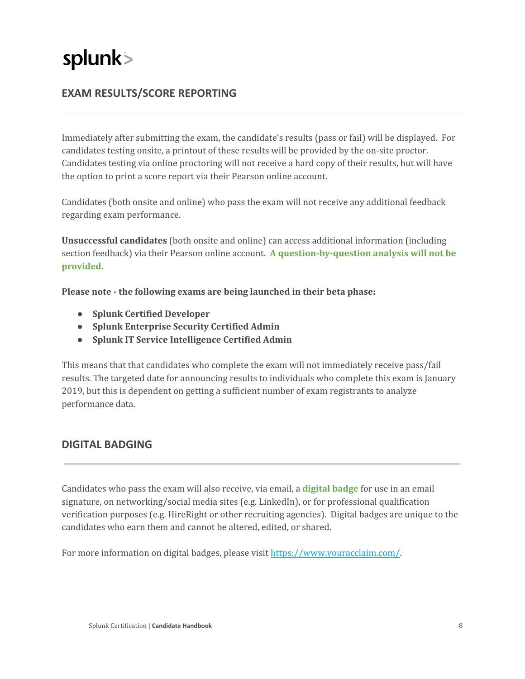### <span id="page-8-0"></span>**EXAM RESULTS/SCORE REPORTING**

Immediately after submitting the exam, the candidate's results (pass or fail) will be displayed. For candidates testing onsite, a printout of these results will be provided by the on-site proctor. Candidates testing via online proctoring will not receive a hard copy of their results, but will have the option to print a score report via their Pearson online account.

Candidates (both onsite and online) who pass the exam will not receive any additional feedback regarding exam performance.

**Unsuccessful candidates** (both onsite and online) can access additional information (including section feedback) via their Pearson online account. A question-by-question analysis will not be **provided.**

**Please note the following exams are being launched in their beta phase:**

- **● Splunk Certified Developer**
- **● Splunk Enterprise Security Certified Admin**
- **● Splunk IT Service Intelligence Certified Admin**

This means that that candidates who complete the exam will not immediately receive pass/fail results. The targeted date for announcing results to individuals who complete this exam is January 2019, but this is dependent on getting a sufficient number of exam registrants to analyze performance data.

#### <span id="page-8-1"></span>**DIGITAL BADGING**

Candidates who pass the exam will also receive, via email, a **digital badge** for use in an email signature, on networking/social media sites (e.g. LinkedIn), or for professional qualification verification purposes (e.g. HireRight or other recruiting agencies). Digital badges are unique to the candidates who earn them and cannot be altered, edited, or shared.

For more information on digital badges, please visit <https://www.youracclaim.com/>.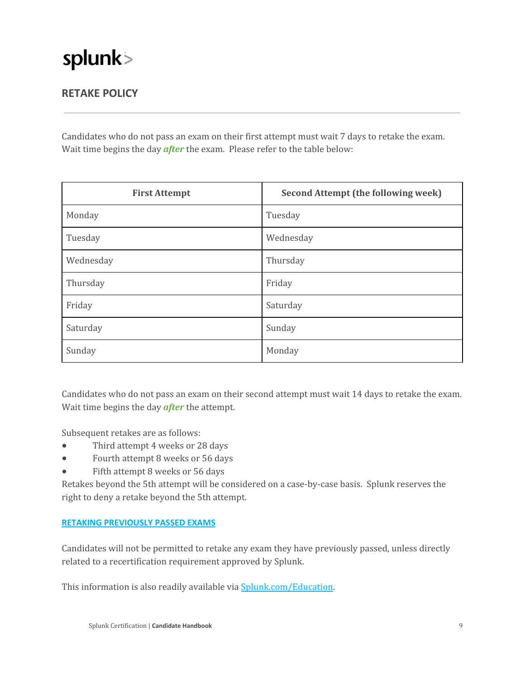### <span id="page-9-0"></span>**RETAKE POLICY**

Candidates who do not pass an exam on their first attempt must wait 7 days to retake the exam. Wait time begins the day *after* the exam. Please refer to the table below:

| <b>First Attempt</b> | <b>Second Attempt (the following week)</b> |
|----------------------|--------------------------------------------|
| Monday               | Tuesday                                    |
| Tuesday              | Wednesday                                  |
| Wednesday            | Thursday                                   |
| Thursday             | Friday                                     |
| Friday               | Saturday                                   |
| Saturday             | Sunday                                     |
| Sunday               | Monday                                     |

Candidates who do not pass an exam on their second attempt must wait 14 days to retake the exam. Wait time begins the day *after* the attempt.

Subsequent retakes are as follows:

- Third attempt 4 weeks or 28 days
- Fourth attempt 8 weeks or 56 days
- Fifth attempt 8 weeks or 56 days

Retakes beyond the 5th attempt will be considered on a case-by-case basis. Splunk reserves the right to deny a retake beyond the 5th attempt.

#### **RETAKING PREVIOUSLY PASSED EXAMS**

Candidates will not be permitted to retake any exam they have previously passed, unless directly related to a recertification requirement approved by Splunk.

This information is also readily available via **Splunk.com/Education**.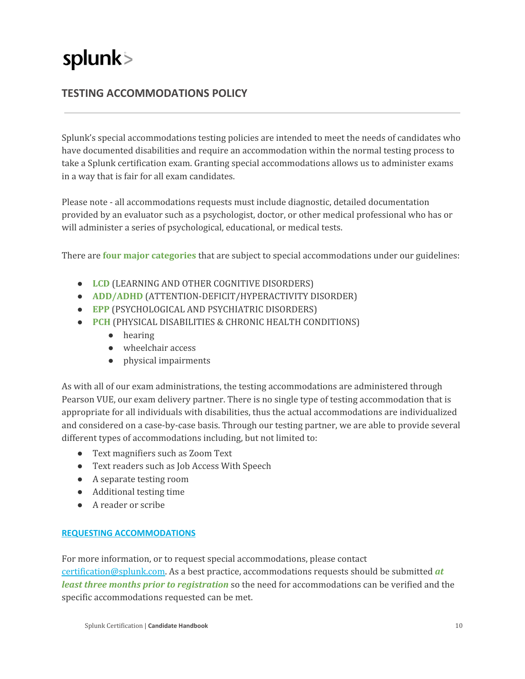### <span id="page-10-0"></span>**TESTING ACCOMMODATIONS POLICY**

Splunk's special accommodations testing policies are intended to meet the needs of candidates who have documented disabilities and require an accommodation within the normal testing process to take a Splunk certification exam. Granting special accommodations allows us to administer exams in a way that is fair for all exam candidates.

Please note ‑ all accommodations requests must include diagnostic, detailed documentation provided by an evaluator such as a psychologist, doctor, or other medical professional who has or will administer a series of psychological, educational, or medical tests.

There are **four major categories** that are subject to special accommodations under our guidelines:

- **LCD** (LEARNING AND OTHER COGNITIVE DISORDERS)
- **ADD/ADHD** (ATTENTION‑DEFICIT/HYPERACTIVITY DISORDER)
- **EPP** (PSYCHOLOGICAL AND PSYCHIATRIC DISORDERS)
- **PCH** (PHYSICAL DISABILITIES & CHRONIC HEALTH CONDITIONS)
	- hearing
	- wheelchair access
	- physical impairments

As with all of our exam administrations, the testing accommodations are administered through Pearson VUE, our exam delivery partner. There is no single type of testing accommodation that is appropriate for all individuals with disabilities, thus the actual accommodations are individualized and considered on a case‑by‑case basis. Through our testing partner, we are able to provide several different types of accommodations including, but not limited to:

- Text magnifiers such as Zoom Text
- Text readers such as Job Access With Speech
- A separate testing room
- Additional testing time
- A reader or scribe

#### **REQUESTING ACCOMMODATIONS**

For more information, or to request special accommodations, please contact

[certification@splunk.com.](mailto:certification@splunk.com) As a best practice, accommodations requests should be submitted *at least three months prior to registration* so the need for accommodations can be verified and the specific accommodations requested can be met.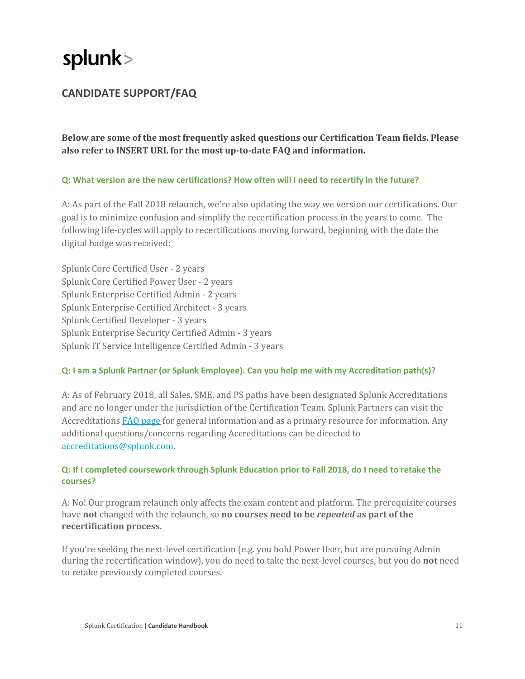### <span id="page-11-0"></span>**CANDIDATE SUPPORT/FAQ**

**Below are some of the most frequently asked questions our Certification Team fields. Please also refer to INSERT URL for the most uptodate FAQ and information.**

#### **Q: What version are the new certifications? How often will I need to recertify in the future?**

A: As part of the Fall 2018 relaunch, we're also updating the way we version our certifications. Our goal is to minimize confusion and simplify the recertification process in the years to come. The following life-cycles will apply to recertifications moving forward, beginning with the date the digital badge was received:

Splunk Core Certified User ‑ 2 years Splunk Core Certified Power User ‑ 2 years Splunk Enterprise Certified Admin ‑ 2 years Splunk Enterprise Certified Architect ‑ 3 years Splunk Certified Developer ‑ 3 years Splunk Enterprise Security Certified Admin ‑ 3 years Splunk IT Service Intelligence Certified Admin ‑ 3 years

#### **Q: I am a Splunk Partner (or Splunk Employee). Can you help me with my Accreditation path(s)?**

A: As of February 2018, all Sales, SME, and PS paths have been designated Splunk Accreditations and are no longer under the jurisdiction of the Certification Team. Splunk Partners can visit the Accreditations FAQ [page](https://partners.splunk.com/prm/English/s/assets?collectionId=2886&id=20353) for general information and as a primary resource for information. Any additional questions/concerns regarding Accreditations can be directed to [accreditations@splunk.com](mailto:accreditations@splunk.com).

#### **Q: If I completed coursework through Splunk Education prior to Fall 2018, do I need to retake the courses?**

A: No! Our program relaunch only affects the exam content and platform. The prerequisite courses have **not** changed with the relaunch, so **no courses need to be** *repeated* **as part of the recertification process.**

If you're seeking the next‑level certification (e.g. you hold Power User, but are pursuing Admin during the recertification window), you do need to take the next‑level courses, but you do **not** need to retake previously completed courses.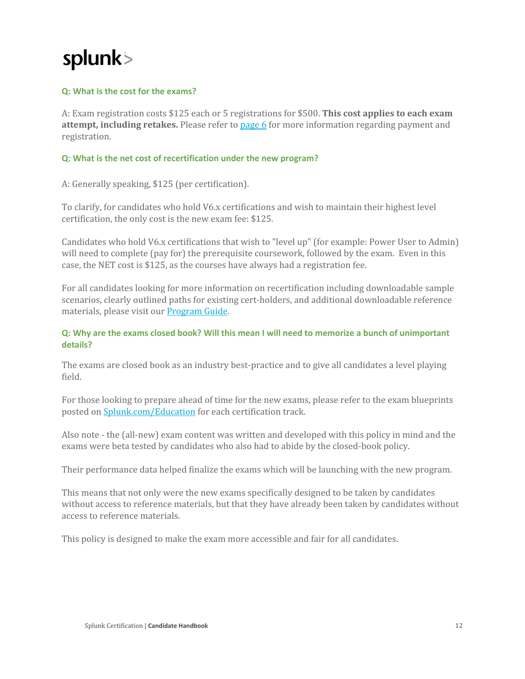#### **Q: What is the cost for the exams?**

A: Exam registration costs \$125 each or 5 registrations for \$500. **This cost applies to each exam attempt, including retakes.** Please refer to [page](#page-6-0) 6 for more information regarding payment and registration.

#### **Q: What is the net cost of [recertification](https://www.splunk.com/en_us/training/faq-training.html#e83795df-70c1-4703-a748-2893f3293edd) under the new program[?](https://www.splunk.com/en_us/training/faq-training.html#e83795df-70c1-4703-a748-2893f3293edd)**

A: Generally speaking, \$125 (per certification).

To clarify, for candidates who hold V6.x certifications and wish to maintain their highest level certification, the only cost is the new exam fee: \$125.

Candidates who hold V6.x certifications that wish to "level up" (for example: Power User to Admin) will need to complete (pay for) the prerequisite coursework, followed by the exam. Even in this case, the NET cost is \$125, as the courses have always had a registration fee.

For all candidates looking for more information on recertification including downloadable sample scenarios, clearly outlined paths for existing cert-holders, and additional downloadable reference materials, please visit our [Program](https://www.splunk.com/en_us/training/program-guide.html) Guide.

#### Q: Why are the exams closed book? Will this mean I will need to memorize a bunch of unimportant **details?**

The exams are closed book as an industry best-practice and to give all candidates a level playing field.

For those looking to prepare ahead of time for the new exams, please refer to the exam blueprints posted on [Splunk.com/Education](https://www.splunk.com/en_us/training.html) for each certification track.

Also note ‑ the (all‑new) exam content was written and developed with this policy in mind and the exams were beta tested by candidates who also had to abide by the closed-book policy.

Their performance data helped finalize the exams which will be launching with the new program.

This means that not only were the new exams specifically designed to be taken by candidates without access to reference materials, but that they have already been taken by candidates without access to reference materials.

This policy is designed to make the exam more accessible and fair for all candidates.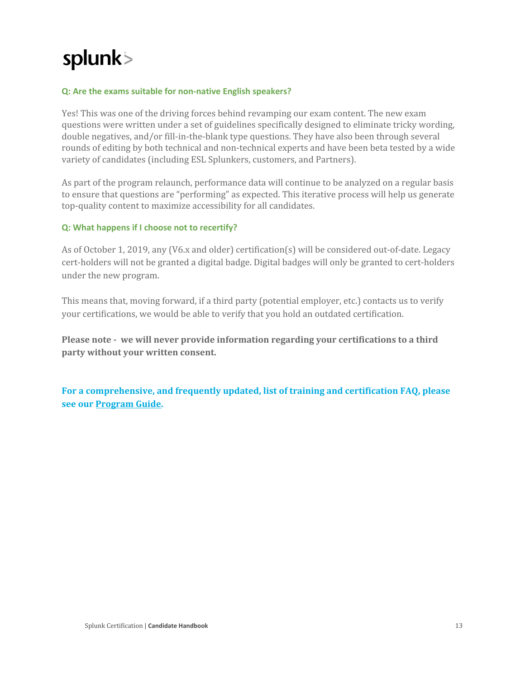#### **Q: Are the exams suitable for non‑native English speakers?**

Yes! This was one of the driving forces behind revamping our exam content. The new exam questions were written under a set of guidelines specifically designed to eliminate tricky wording, double negatives, and/or fill-in-the-blank type questions. They have also been through several rounds of editing by both technical and non-technical experts and have been beta tested by a wide variety of candidates (including ESL Splunkers, customers, and Partners).

As part of the program relaunch, performance data will continue to be analyzed on a regular basis to ensure that questions are "performing" as expected. This iterative process will help us generate top‑quality content to maximize accessibility for all candidates.

#### **Q: What happens if I choose not to recertify?**

As of October 1, 2019, any (V6.x and older) certification(s) will be considered out-of-date. Legacy cert-holders will not be granted a digital badge. Digital badges will only be granted to cert-holders under the new program.

This means that, moving forward, if a third party (potential employer, etc.) contacts us to verify your certifications, we would be able to verify that you hold an outdated certification.

**Please note we will never provide information regarding your certifications to a third party without your written consent.**

**For a comprehensive, and frequently updated, list of training and certification FAQ, please see our [Program](https://www.splunk.com/en_us/training/program-guide.html) Guide.**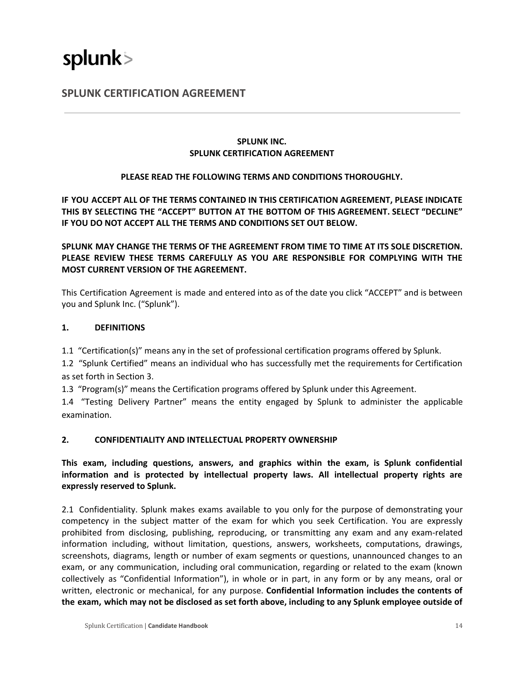### <span id="page-14-0"></span>**SPLUNK CERTIFICATION AGREEMENT**

#### **SPLUNK INC. SPLUNK CERTIFICATION AGREEMENT**

#### **PLEASE READ THE FOLLOWING TERMS AND CONDITIONS THOROUGHLY.**

**IF YOU ACCEPT ALL OF THE TERMS CONTAINED IN THIS CERTIFICATION AGREEMENT, PLEASE INDICATE THIS BY SELECTING THE "ACCEPT" BUTTON AT THE BOTTOM OF THIS AGREEMENT. SELECT "DECLINE" IF YOU DO NOT ACCEPT ALL THE TERMS AND CONDITIONS SET OUT BELOW.**

#### **SPLUNK MAY CHANGE THE TERMS OF THE AGREEMENT FROM TIME TO TIME AT ITS SOLE DISCRETION. PLEASE REVIEW THESE TERMS CAREFULLY AS YOU ARE RESPONSIBLE FOR COMPLYING WITH THE MOST CURRENT VERSION OF THE AGREEMENT.**

This Certification Agreement is made and entered into as of the date you click "ACCEPT" and is between you and Splunk Inc. ("Splunk").

#### **1. DEFINITIONS**

1.1 "Certification(s)" means any in the set of professional certification programs offered by Splunk.

1.2 "Splunk Certified" means an individual who has successfully met the requirements for Certification as set forth in Section 3.

1.3 "Program(s)" means the Certification programs offered by Splunk under this Agreement.

1.4 "Testing Delivery Partner" means the entity engaged by Splunk to administer the applicable examination.

#### **2. CONFIDENTIALITY AND INTELLECTUAL PROPERTY OWNERSHIP**

**This exam, including questions, answers, and graphics within the exam, is Splunk confidential information and is protected by intellectual property laws. All intellectual property rights are expressly reserved to Splunk.**

2.1 Confidentiality. Splunk makes exams available to you only for the purpose of demonstrating your competency in the subject matter of the exam for which you seek Certification. You are expressly prohibited from disclosing, publishing, reproducing, or transmitting any exam and any exam‑related information including, without limitation, questions, answers, worksheets, computations, drawings, screenshots, diagrams, length or number of exam segments or questions, unannounced changes to an exam, or any communication, including oral communication, regarding or related to the exam (known collectively as "Confidential Information"), in whole or in part, in any form or by any means, oral or written, electronic or mechanical, for any purpose. **Confidential Information includes the contents of** the exam, which may not be disclosed as set forth above, including to any Splunk employee outside of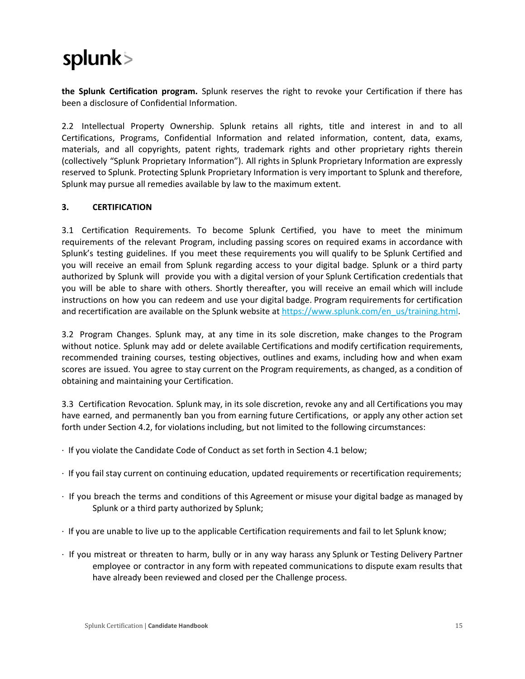**the Splunk Certification program.** Splunk reserves the right to revoke your Certification if there has been a disclosure of Confidential Information.

2.2 Intellectual Property Ownership. Splunk retains all rights, title and interest in and to all Certifications, Programs, Confidential Information and related information, content, data, exams, materials, and all copyrights, patent rights, trademark rights and other proprietary rights therein (collectively "Splunk Proprietary Information"). All rights in Splunk Proprietary Information are expressly reserved to Splunk. Protecting Splunk Proprietary Information is very important to Splunk and therefore, Splunk may pursue all remedies available by law to the maximum extent.

#### **3. CERTIFICATION**

3.1 Certification Requirements. To become Splunk Certified, you have to meet the minimum requirements of the relevant Program, including passing scores on required exams in accordance with Splunk's testing guidelines. If you meet these requirements you will qualify to be Splunk Certified and you will receive an email from Splunk regarding access to your digital badge. Splunk or a third party authorized by Splunk will provide you with a digital version of your Splunk Certification credentials that you will be able to share with others. Shortly thereafter, you will receive an email which will include instructions on how you can redeem and use your digital badge. Program requirements for certification and recertification are available on the Splunk website at [https://www.splunk.com/en\\_us/training.html.](https://www.splunk.com/en_us/training.html)

3.2 Program Changes. Splunk may, at any time in its sole discretion, make changes to the Program without notice. Splunk may add or delete available Certifications and modify certification requirements, recommended training courses, testing objectives, outlines and exams, including how and when exam scores are issued. You agree to stay current on the Program requirements, as changed, as a condition of obtaining and maintaining your Certification.

3.3 Certification Revocation. Splunk may, in its sole discretion, revoke any and all Certifications you may have earned, and permanently ban you from earning future Certifications, or apply any other action set forth under Section 4.2, for violations including, but not limited to the following circumstances:

- ∙ If you violate the Candidate Code of Conduct as set forth in Section 4.1 below;
- ∙ If you fail stay current on continuing education, updated requirements or recertification requirements;
- ∙ If you breach the terms and conditions of this Agreement or misuse your digital badge as managed by Splunk or a third party authorized by Splunk;
- ∙ If you are unable to live up to the applicable Certification requirements and fail to let Splunk know;
- ∙ If you mistreat or threaten to harm, bully or in any way harass any Splunk or Testing Delivery Partner employee or contractor in any form with repeated communications to dispute exam results that have already been reviewed and closed per the Challenge process.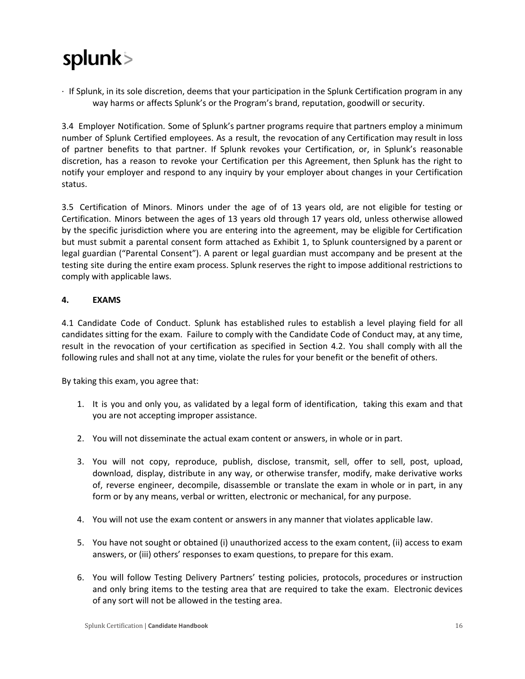∙ If Splunk, in its sole discretion, deems that your participation in the Splunk Certification program in any way harms or affects Splunk's or the Program's brand, reputation, goodwill or security.

3.4 Employer Notification. Some of Splunk's partner programs require that partners employ a minimum number of Splunk Certified employees. As a result, the revocation of any Certification may result in loss of partner benefits to that partner. If Splunk revokes your Certification, or, in Splunk's reasonable discretion, has a reason to revoke your Certification per this Agreement, then Splunk has the right to notify your employer and respond to any inquiry by your employer about changes in your Certification status.

3.5 Certification of Minors. Minors under the age of of 13 years old, are not eligible for testing or Certification. Minors between the ages of 13 years old through 17 years old, unless otherwise allowed by the specific jurisdiction where you are entering into the agreement, may be eligible for Certification but must submit a parental consent form attached as Exhibit 1, to Splunk countersigned by a parent or legal guardian ("Parental Consent"). A parent or legal guardian must accompany and be present at the testing site during the entire exam process. Splunk reserves the right to impose additional restrictions to comply with applicable laws.

#### **4. EXAMS**

4.1 Candidate Code of Conduct. Splunk has established rules to establish a level playing field for all candidates sitting for the exam. Failure to comply with the Candidate Code of Conduct may, at any time, result in the revocation of your certification as specified in Section 4.2. You shall comply with all the following rules and shall not at any time, violate the rules for your benefit or the benefit of others.

By taking this exam, you agree that:

- 1. It is you and only you, as validated by a legal form of identification, taking this exam and that you are not accepting improper assistance.
- 2. You will not disseminate the actual exam content or answers, in whole or in part.
- 3. You will not copy, reproduce, publish, disclose, transmit, sell, offer to sell, post, upload, download, display, distribute in any way, or otherwise transfer, modify, make derivative works of, reverse engineer, decompile, disassemble or translate the exam in whole or in part, in any form or by any means, verbal or written, electronic or mechanical, for any purpose.
- 4. You will not use the exam content or answers in any manner that violates applicable law.
- 5. You have not sought or obtained (i) unauthorized access to the exam content, (ii) access to exam answers, or (iii) others' responses to exam questions, to prepare for this exam.
- 6. You will follow Testing Delivery Partners' testing policies, protocols, procedures or instruction and only bring items to the testing area that are required to take the exam. Electronic devices of any sort will not be allowed in the testing area.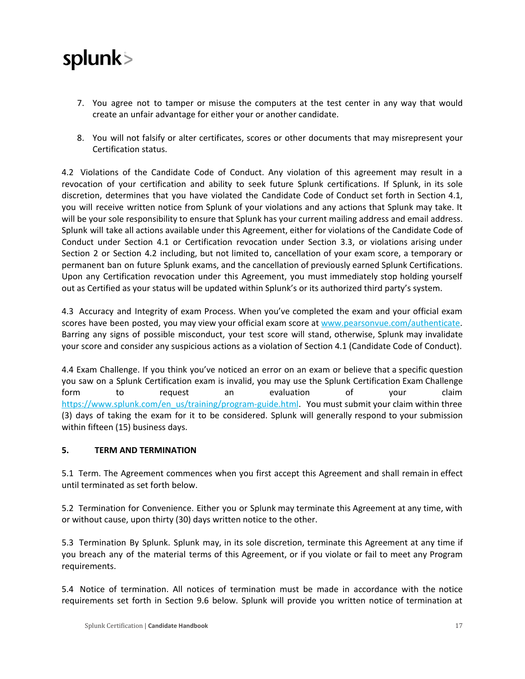

- 7. You agree not to tamper or misuse the computers at the test center in any way that would create an unfair advantage for either your or another candidate.
- 8. You will not falsify or alter certificates, scores or other documents that may misrepresent your Certification status.

4.2 Violations of the Candidate Code of Conduct. Any violation of this agreement may result in a revocation of your certification and ability to seek future Splunk certifications. If Splunk, in its sole discretion, determines that you have violated the Candidate Code of Conduct set forth in Section 4.1, you will receive written notice from Splunk of your violations and any actions that Splunk may take. It will be your sole responsibility to ensure that Splunk has your current mailing address and email address. Splunk will take all actions available under this Agreement, either for violations of the Candidate Code of Conduct under Section 4.1 or Certification revocation under Section 3.3, or violations arising under Section 2 or Section 4.2 including, but not limited to, cancellation of your exam score, a temporary or permanent ban on future Splunk exams, and the cancellation of previously earned Splunk Certifications. Upon any Certification revocation under this Agreement, you must immediately stop holding yourself out as Certified as your status will be updated within Splunk's or its authorized third party's system.

4.3 Accuracy and Integrity of exam Process. When you've completed the exam and your official exam scores have been posted, you may view your official exam score at [www.pearsonvue.com/authenticate.](http://www.pearsonvue.com/authenticate) Barring any signs of possible misconduct, your test score will stand, otherwise, Splunk may invalidate your score and consider any suspicious actions as a violation of Section 4.1 (Candidate Code of Conduct).

4.4 Exam Challenge. If you think you've noticed an error on an exam or believe that a specific question you saw on a Splunk Certification exam is invalid, you may use the Splunk Certification Exam Challenge form to request an evaluation of your claim https://www.splunk.com/en\_us/training/program-guide.html. You must submit your claim within three (3) days of taking the exam for it to be considered. Splunk will generally respond to your submission within fifteen (15) business days.

#### **5. TERM AND TERMINATION**

5.1 Term. The Agreement commences when you first accept this Agreement and shall remain in effect until terminated as set forth below.

5.2 Termination for Convenience. Either you or Splunk may terminate this Agreement at any time, with or without cause, upon thirty (30) days written notice to the other.

5.3 Termination By Splunk. Splunk may, in its sole discretion, terminate this Agreement at any time if you breach any of the material terms of this Agreement, or if you violate or fail to meet any Program requirements.

5.4 Notice of termination. All notices of termination must be made in accordance with the notice requirements set forth in Section 9.6 below. Splunk will provide you written notice of termination at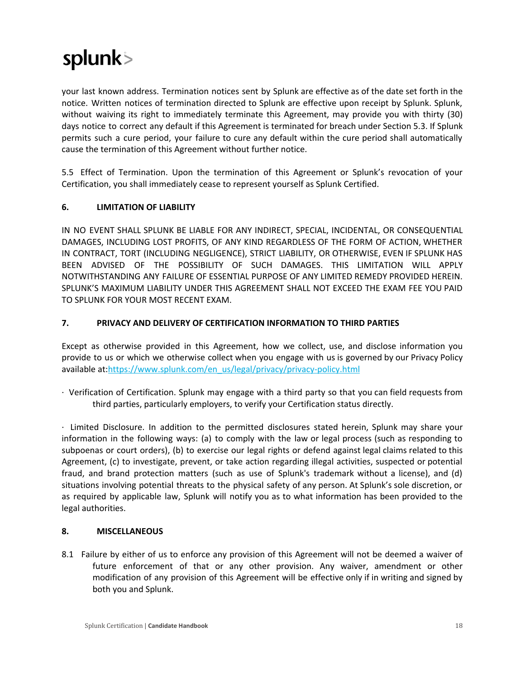your last known address. Termination notices sent by Splunk are effective as of the date set forth in the notice. Written notices of termination directed to Splunk are effective upon receipt by Splunk. Splunk, without waiving its right to immediately terminate this Agreement, may provide you with thirty (30) days notice to correct any default if this Agreement is terminated for breach under Section 5.3. If Splunk permits such a cure period, your failure to cure any default within the cure period shall automatically cause the termination of this Agreement without further notice.

5.5 Effect of Termination. Upon the termination of this Agreement or Splunk's revocation of your Certification, you shall immediately cease to represent yourself as Splunk Certified.

#### **6. LIMITATION OF LIABILITY**

IN NO EVENT SHALL SPLUNK BE LIABLE FOR ANY INDIRECT, SPECIAL, INCIDENTAL, OR CONSEQUENTIAL DAMAGES, INCLUDING LOST PROFITS, OF ANY KIND REGARDLESS OF THE FORM OF ACTION, WHETHER IN CONTRACT, TORT (INCLUDING NEGLIGENCE), STRICT LIABILITY, OR OTHERWISE, EVEN IF SPLUNK HAS BEEN ADVISED OF THE POSSIBILITY OF SUCH DAMAGES. THIS LIMITATION WILL APPLY NOTWITHSTANDING ANY FAILURE OF ESSENTIAL PURPOSE OF ANY LIMITED REMEDY PROVIDED HEREIN. SPLUNK'S MAXIMUM LIABILITY UNDER THIS AGREEMENT SHALL NOT EXCEED THE EXAM FEE YOU PAID TO SPLUNK FOR YOUR MOST RECENT EXAM.

#### **7. PRIVACY AND DELIVERY OF CERTIFICATION INFORMATION TO THIRD PARTIES**

Except as otherwise provided in this Agreement, how we collect, use, and disclose information you provide to us or which we otherwise collect when you engage with us is governed by our Privacy Policy available at:https://www.splunk.com/en\_us/legal/privacy/privacy-policy.html

∙ Verification of Certification. Splunk may engage with a third party so that you can field requests from third parties, particularly employers, to verify your Certification status directly.

∙ Limited Disclosure. In addition to the permitted disclosures stated herein, Splunk may share your information in the following ways: (a) to comply with the law or legal process (such as responding to subpoenas or court orders), (b) to exercise our legal rights or defend against legal claims related to this Agreement, (c) to investigate, prevent, or take action regarding illegal activities, suspected or potential fraud, and brand protection matters (such as use of Splunk's trademark without a license), and (d) situations involving potential threats to the physical safety of any person. At Splunk's sole discretion, or as required by applicable law, Splunk will notify you as to what information has been provided to the legal authorities.

#### **8. MISCELLANEOUS**

8.1 Failure by either of us to enforce any provision of this Agreement will not be deemed a waiver of future enforcement of that or any other provision. Any waiver, amendment or other modification of any provision of this Agreement will be effective only if in writing and signed by both you and Splunk.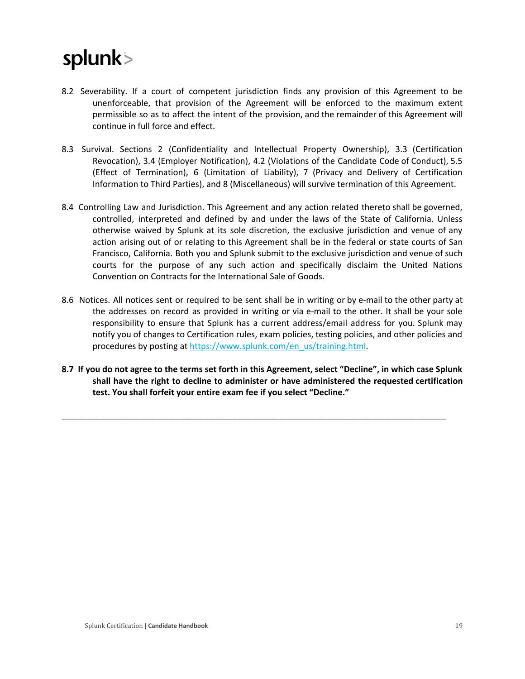- 8.2 Severability. If a court of competent jurisdiction finds any provision of this Agreement to be unenforceable, that provision of the Agreement will be enforced to the maximum extent permissible so as to affect the intent of the provision, and the remainder of this Agreement will continue in full force and effect.
- 8.3 Survival. Sections 2 (Confidentiality and Intellectual Property Ownership), 3.3 (Certification Revocation), 3.4 (Employer Notification), 4.2 (Violations of the Candidate Code of Conduct), 5.5 (Effect of Termination), 6 (Limitation of Liability), 7 (Privacy and Delivery of Certification Information to Third Parties), and 8 (Miscellaneous) will survive termination of this Agreement.
- 8.4 Controlling Law and Jurisdiction. This Agreement and any action related thereto shall be governed, controlled, interpreted and defined by and under the laws of the State of California. Unless otherwise waived by Splunk at its sole discretion, the exclusive jurisdiction and venue of any action arising out of or relating to this Agreement shall be in the federal or state courts of San Francisco, California. Both you and Splunk submit to the exclusive jurisdiction and venue of such courts for the purpose of any such action and specifically disclaim the United Nations Convention on Contracts for the International Sale of Goods.
- 8.6 Notices. All notices sent or required to be sent shall be in writing or by e-mail to the other party at the addresses on record as provided in writing or via e‑mail to the other. It shall be your sole responsibility to ensure that Splunk has a current address/email address for you. Splunk may notify you of changes to Certification rules, exam policies, testing policies, and other policies and procedures by posting at [https://www.splunk.com/en\\_us/training.html.](https://www.splunk.com/en_us/training.html)
- 8.7 If you do not agree to the terms set forth in this Agreement, select "Decline", in which case Splunk **shall have the right to decline to administer or have administered the requested certification test. You shall forfeit your entire exam fee if you select "Decline."**

\_\_\_\_\_\_\_\_\_\_\_\_\_\_\_\_\_\_\_\_\_\_\_\_\_\_\_\_\_\_\_\_\_\_\_\_\_\_\_\_\_\_\_\_\_\_\_\_\_\_\_\_\_\_\_\_\_\_\_\_\_\_\_\_\_\_\_\_\_\_\_\_\_\_\_\_\_\_\_\_\_\_\_\_\_\_\_\_\_\_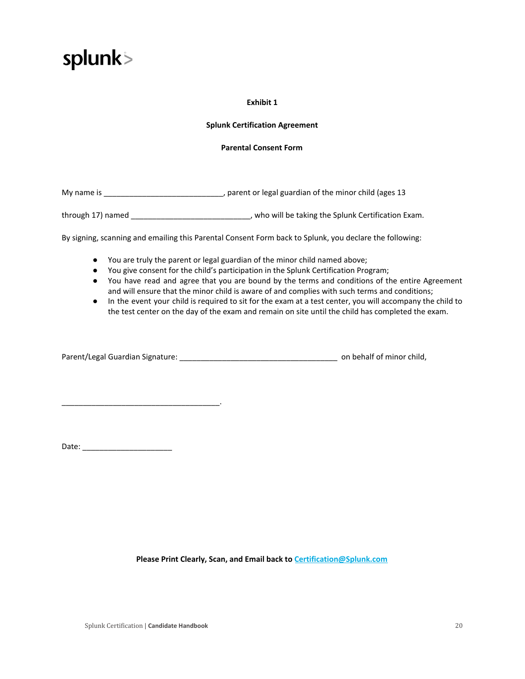

#### **Exhibit 1**

#### **Splunk Certification Agreement**

#### **Parental Consent Form**

My name is \_\_\_\_\_\_\_\_\_\_\_\_\_\_\_\_\_\_\_\_\_\_\_\_\_\_\_\_, parent or legal guardian of the minor child (ages 13

through 17) named **through 17** named **the substitution Exam.** Who will be taking the Splunk Certification Exam.

By signing, scanning and emailing this Parental Consent Form back to Splunk, you declare the following:

- You are truly the parent or legal guardian of the minor child named above;
- You give consent for the child's participation in the Splunk Certification Program;
- You have read and agree that you are bound by the terms and conditions of the entire Agreement and will ensure that the minor child is aware of and complies with such terms and conditions;
- In the event your child is required to sit for the exam at a test center, you will accompany the child to the test center on the day of the exam and remain on site until the child has completed the exam.

Parent/Legal Guardian Signature: \_\_\_\_\_\_\_\_\_\_\_\_\_\_\_\_\_\_\_\_\_\_\_\_\_\_\_\_\_\_\_\_\_\_\_\_\_ on behalf of minor child,

Date: \_\_\_\_\_\_\_\_\_\_\_\_\_\_\_\_\_\_\_\_\_

\_\_\_\_\_\_\_\_\_\_\_\_\_\_\_\_\_\_\_\_\_\_\_\_\_\_\_\_\_\_\_\_\_\_\_\_\_.

**Please Print Clearly, Scan, and Email back to [Certification@Splunk.com](mailto:Certification@Splunk.com)**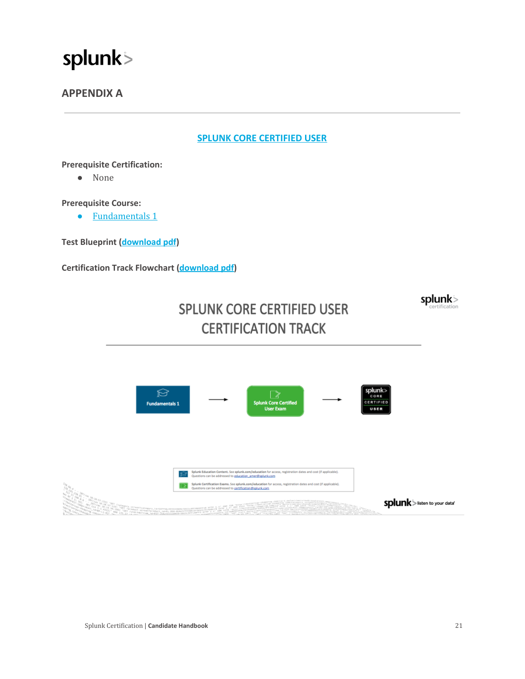

### <span id="page-21-0"></span>**APPENDIX A**

#### **[SPLUNK CORE CERTIFIED USER](https://www.splunk.com/en_us/training/certification-track/splunk-core-certified-user/overview.html)**

#### **Prerequisite Certification:**

● None

#### **Prerequisite Course:**

● [Fundamentals](https://www.splunk.com/view/SP-CAAAPX9) 1

**Test Blueprint [\(download](https://www.splunk.com/pdfs/training/Splunk-Test-Blueprint-User-v.1.1.pdf) pdf)**

**Certification Track Flowchart [\(download](https://www.splunk.com/pdfs/training/Splunk-Core-Certified-User-Track.pdf) pdf)**

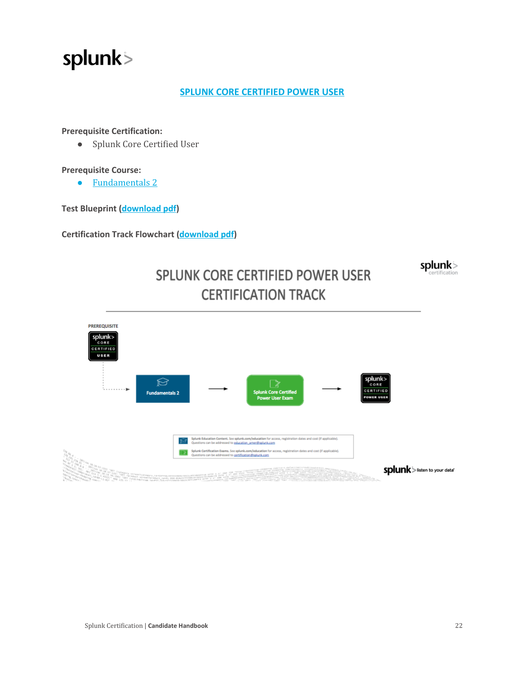#### **[SPLUNK CORE CERTIFIED POWER USER](https://www.splunk.com/en_us/training/certification-track/splunk-core-certified-power-user/overview.html)**

#### **Prerequisite Certification:**

● Splunk Core Certified User

#### **Prerequisite Course:**

● [Fundamentals](https://www.splunk.com/en_us/training/courses/splunk-fundamentals-2.html) 2

**Test Blueprint [\(download](https://www.splunk.com/pdfs/training/Splunk-Test-Blueprint-Power-User-v.1.1.pdf) pdf)**

**Certification Track Flowchart [\(download](https://www.splunk.com/pdfs/training/Splunk-Core-Certified-Power-User-Track.pdf) pdf)**

splunk>

### SPLUNK CORE CERTIFIED POWER USER **CERTIFICATION TRACK**

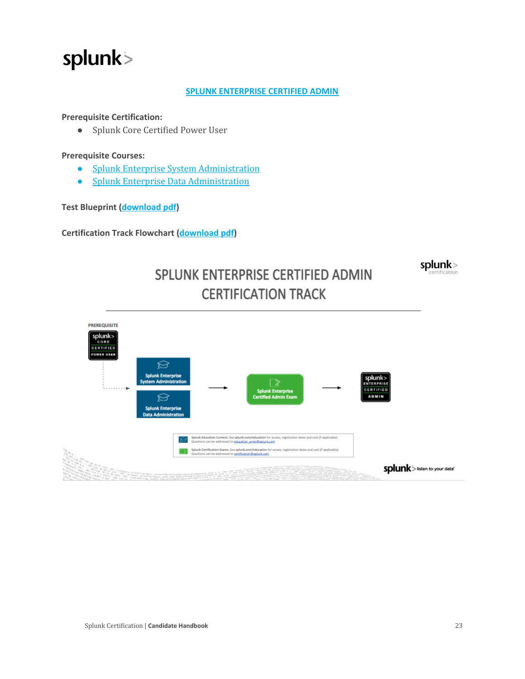#### **SPLUNK [ENTERPRISE](https://www.splunk.com/en_us/training/certification-track/splunk-enterprise-certified-admin/overview.html) CERTIFIED ADMIN**

#### **Prerequisite Certification:**

● Splunk Core Certified Power User

#### **Prerequisite Courses:**

- Splunk Enterprise System [Administration](https://www.splunk.com/en_us/training/courses/splunk-enterprise-system-administration.html)
- Splunk Enterprise [Data Administration](https://www.splunk.com/en_us/training/courses/splunk-enterprise-data-administration.html)

#### **Test Blueprint [\(download](https://www.splunk.com/pdfs/training/Splunk-Test-Blueprint-Admin-v.1.1.pdf) pdf)**

**Certification Track Flowchart [\(download](https://www.splunk.com/pdfs/training/Splunk-Enterprise-Certified-Admin-Track.pdf) pdf)**



### SPLUNK ENTERPRISE CERTIFIED ADMIN **CERTIFICATION TRACK**

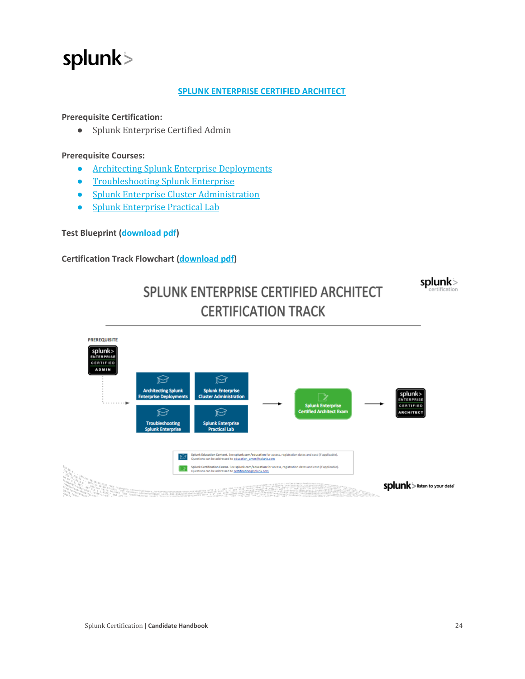#### **SPLUNK [ENTERPRISE](https://www.splunk.com/en_us/training/certification-track/splunk-enterprise-certified-architect/overview.html) CERTIFIED ARCHITECT**

#### **Prerequisite Certification:**

● Splunk Enterprise Certified Admin

#### **Prerequisite Courses:**

- Architecting Splunk Enterprise [Deployments](https://www.splunk.com/en_us/training/courses/architecting-splunk-enterprise-deployments.html)
- [Troubleshooting](https://www.splunk.com/en_us/training/certification-track/splunk-enterprise-certified-architect/troubleshooting-splunk-enterprise.html) Splunk Enterprise
- Splunk Enterprise Cluster [Administration](https://www.splunk.com/en_us/training/certification-track/splunk-enterprise-certified-architect/splunk-enterprise-cluster-administration.html)
- Splunk [Enterprise](https://www.splunk.com/en_us/training/certification-track/splunk-enterprise-certified-architect/splunk-architect-certification-lab.html) Practical Lab

#### **Test Blueprint [\(download](https://www.splunk.com/pdfs/training/Splunk-Test-Blueprint-Architect-v.1.1.pdf) pdf)**

#### **Certification Track Flowchart [\(download](https://www.splunk.com/pdfs/training/Splunk-Enterprise-Certified-Architect-Track.pdf) pdf)**





SPLUNK ENTERPRISE CERTIFIED ARCHITECT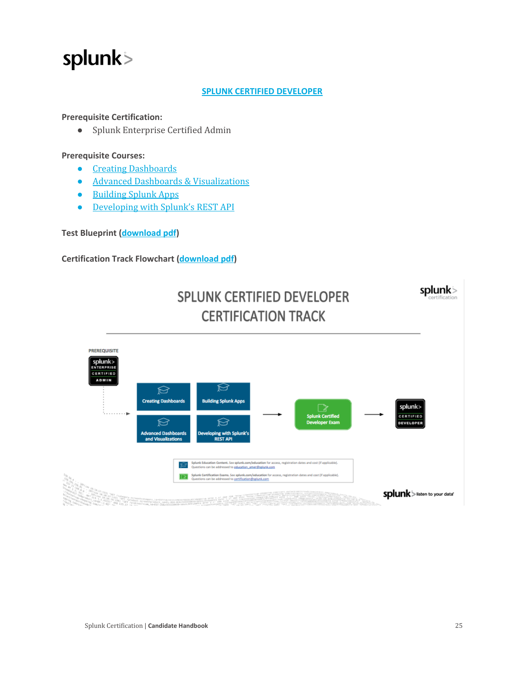#### **SPLUNK CERTIFIED [DEVELOPER](https://www.splunk.com/en_us/training/certification-track/splunk-certified-developer/overview.html)**

#### **Prerequisite Certification:**

● Splunk Enterprise Certified Admin

#### **Prerequisite Courses:**

- Creating [Dashboards](https://www.splunk.com/en_us/training/certification-track/splunk-certified-developer/creating-dashboards.html)
- Advanced Dashboards & [Visualizations](https://www.splunk.com/en_us/training/certification-track/splunk-certified-developer/advanced-dashboards-and-visualizations.html)
- [Building](https://www.splunk.com/en_us/training/certification-track/splunk-certified-developer/building-splunk-apps.html) Splunk Apps
- [Developing](https://www.splunk.com/en_us/training/certification-track/splunk-certified-developer/developing-with-splunks-java-and-python-sdks.html) with Splunk's REST API

**Test Blueprint [\(download](https://www.splunk.com/pdfs/training/Splunk-Test-Blueprint-Developer-v.1.1.pdf) pdf)**

#### **Certification Track Flowchart [\(download](https://www.splunk.com/pdfs/training/Splunk-Certified-Developer-Track.pdf) pdf)**



### **SPLUNK CERTIFIED DEVELOPER CERTIFICATION TRACK**

splunk>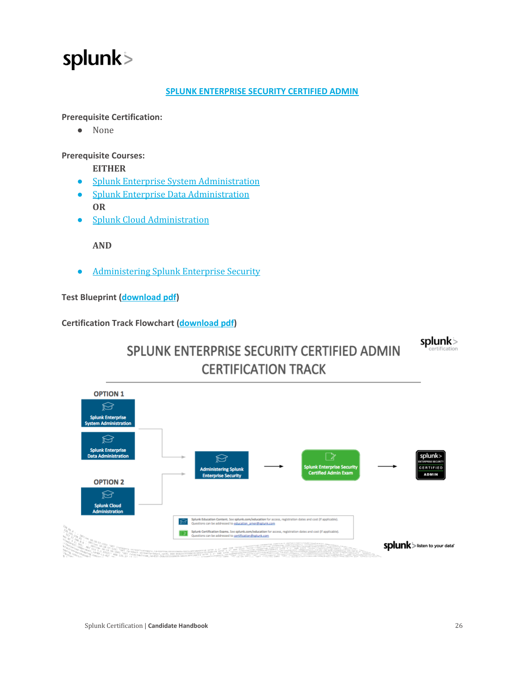#### **SPLUNK [ENTERPRISE](https://www.splunk.com/en_us/training/certification-track/splunk-es-certified-admin/overview.html) SECURITY CERTIFIED ADMIN**

**Prerequisite Certification:**

● None

**Prerequisite Courses:**

**EITHER**

- Splunk Enterprise System [Administration](https://www.splunk.com/en_us/training/courses/splunk-enterprise-system-administration.html)
- Splunk Enterprise [Data Administration](https://www.splunk.com/en_us/training/courses/splunk-enterprise-data-administration.html) **OR**
- Splunk Cloud [Administration](https://www.splunk.com/en_us/training/courses/splunk-cloud-administration.html)

**AND**

● [Administering](https://www.splunk.com/en_us/training/courses/administering-splunk-enterprise-security.html) Splunk Enterprise Security

**Test Blueprint [\(download](https://www.splunk.com/pdfs/training/Splunk-Test-Blueprint-ES-Admin-v.1.1.pdf) pdf)**

**Certification Track Flowchart [\(download](https://www.splunk.com/pdfs/training/Splunk-ES-Certified-Admin-Track.pdf) pdf)**

splunk>



### SPLUNK ENTERPRISE SECURITY CERTIFIED ADMIN **CERTIFICATION TRACK**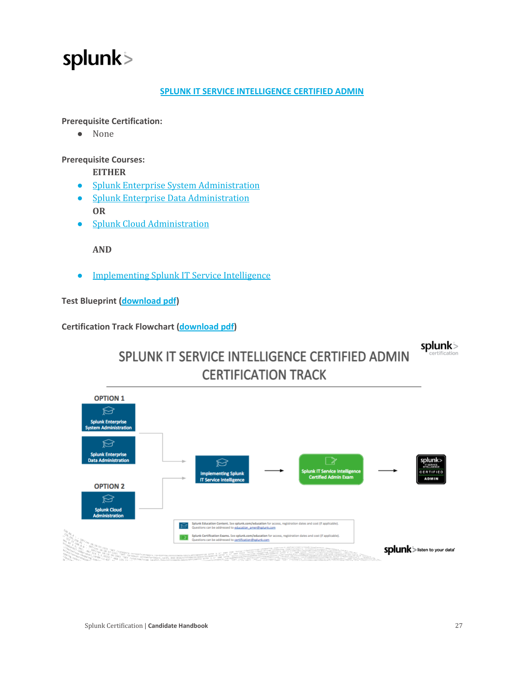#### **SPLUNK IT SERVICE [INTELLIGENCE](https://www.splunk.com/en_us/training/certification-track/splunk-itsi-certified-admin/overview.html) CERTIFIED ADMIN**

**Prerequisite Certification:**

● None

**Prerequisite Courses:**

**EITHER**

- Splunk Enterprise System [Administration](https://www.splunk.com/en_us/training/courses/splunk-enterprise-system-administration.html)
- Splunk Enterprise [Data Administration](https://www.splunk.com/en_us/training/courses/splunk-enterprise-data-administration.html) **OR**
- Splunk Cloud [Administration](https://www.splunk.com/en_us/training/courses/splunk-cloud-administration.html)

**AND**

● [Implementing](https://www.splunk.com/en_us/training/courses/implementing-splunk-it-service-intelligence.html) Splunk IT Service Intelligence

**Test Blueprint [\(download](https://www.splunk.com/pdfs/training/Splunk-Test-Blueprint-ITSI-Admin-v1.1.pdf) pdf)**

**Certification Track Flowchart [\(download](https://www.splunk.com/pdfs/training/Splunk%20ITSI%20Certified%20Admin%20Track.pdf) pdf)**

splunk>



### SPLUNK IT SERVICE INTELLIGENCE CERTIFIED ADMIN **CERTIFICATION TRACK**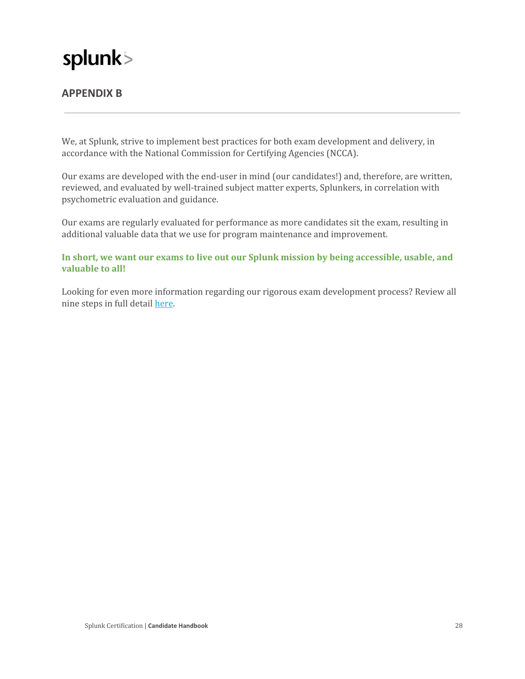### <span id="page-28-0"></span>**APPENDIX B**

We, at Splunk, strive to implement best practices for both exam development and delivery, in accordance with the National Commission for Certifying Agencies (NCCA).

Our exams are developed with the end‑user in mind (our candidates!) and, therefore, are written, reviewed, and evaluated by well-trained subject matter experts, Splunkers, in correlation with psychometric evaluation and guidance.

Our exams are regularly evaluated for performance as more candidates sit the exam, resulting in additional valuable data that we use for program maintenance and improvement.

**In short, we want our exams to live out our Splunk mission by being accessible, usable, and valuable to all!**

Looking for even more information regarding our rigorous exam development process? Review all nine steps in full detail [here.](https://www.splunk.com/pdfs/training/Splunk-Exam-Development-Cycle.pdf)